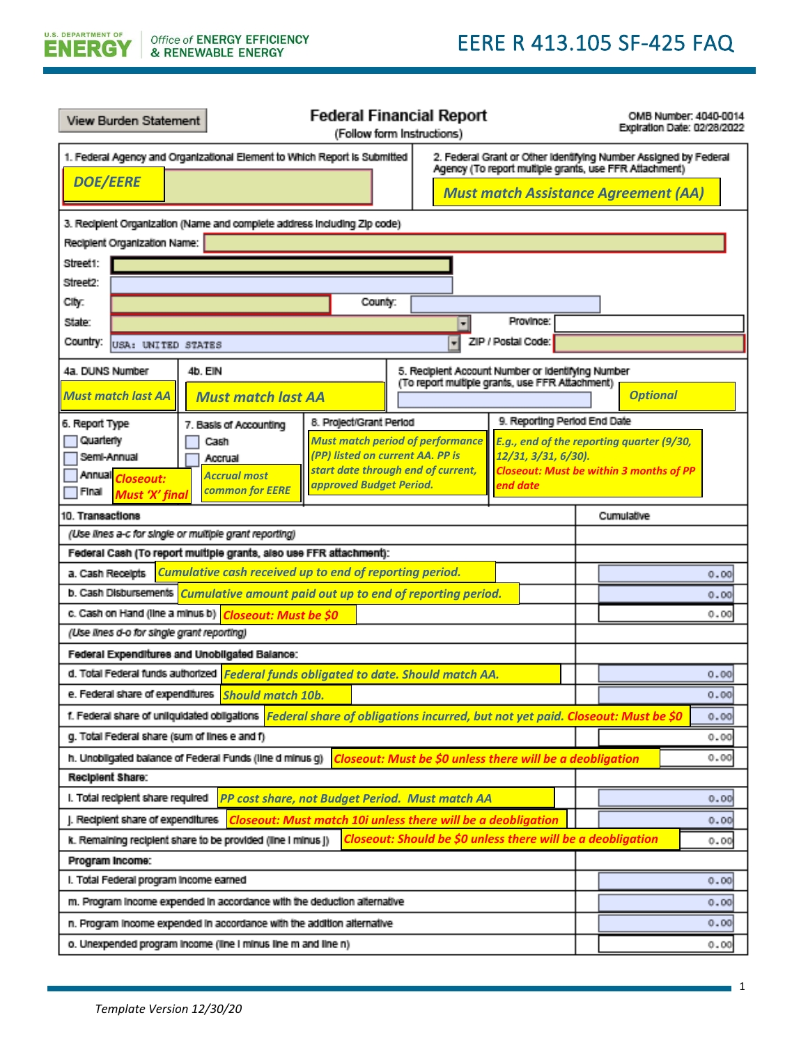**EERE R XXX.XXX: SF-425 Tip Sheet**

| View Burden Statement                                                                                                                                                                                   |                                                                                                                             | <b>Federal Financial Report</b><br>(Follow form Instructions)                                      |                                                   |                    |  | OMB Number: 4040-0014<br>Expiration Date: 02/28/2022 |  |  |
|---------------------------------------------------------------------------------------------------------------------------------------------------------------------------------------------------------|-----------------------------------------------------------------------------------------------------------------------------|----------------------------------------------------------------------------------------------------|---------------------------------------------------|--------------------|--|------------------------------------------------------|--|--|
| 1. Federal Agency and Organizational Element to Which Report is Submitted<br>2. Federal Grant or Other Identifying Number Assigned by Federal<br>Agency (To report multiple grants, use FFR Attachment) |                                                                                                                             |                                                                                                    |                                                   |                    |  |                                                      |  |  |
|                                                                                                                                                                                                         | <b>DOE/EERE</b><br><b>Must match Assistance Agreement (AA)</b>                                                              |                                                                                                    |                                                   |                    |  |                                                      |  |  |
| 3. Recipient Organization (Name and complete address including Zip code)                                                                                                                                |                                                                                                                             |                                                                                                    |                                                   |                    |  |                                                      |  |  |
| Recipient Organization Name:                                                                                                                                                                            |                                                                                                                             |                                                                                                    |                                                   |                    |  |                                                      |  |  |
| Street1:                                                                                                                                                                                                |                                                                                                                             |                                                                                                    |                                                   |                    |  |                                                      |  |  |
| Street2:                                                                                                                                                                                                |                                                                                                                             |                                                                                                    |                                                   |                    |  |                                                      |  |  |
| City:                                                                                                                                                                                                   |                                                                                                                             | County:                                                                                            |                                                   |                    |  |                                                      |  |  |
| State:                                                                                                                                                                                                  |                                                                                                                             |                                                                                                    |                                                   | Province:          |  |                                                      |  |  |
| Country:<br>USA: UNITED STATES                                                                                                                                                                          |                                                                                                                             |                                                                                                    | ᆔ                                                 | ZIP / Postal Code: |  |                                                      |  |  |
| 4a. DUNS Number                                                                                                                                                                                         | 4b. EIN                                                                                                                     |                                                                                                    | 5. Recipient Account Number or identifying Number |                    |  |                                                      |  |  |
| <b>Must match last AA</b>                                                                                                                                                                               | <b>Must match last AA</b>                                                                                                   |                                                                                                    | (To report multiple grants, use FFR Attachment)   |                    |  | <b>Optional</b>                                      |  |  |
|                                                                                                                                                                                                         |                                                                                                                             |                                                                                                    |                                                   |                    |  |                                                      |  |  |
| 6. Report Type<br>Quarterly                                                                                                                                                                             | 7. Basis of Accounting                                                                                                      | 8. Project/Grant Period                                                                            |                                                   |                    |  | 9. Reporting Period End Date                         |  |  |
| Semi-Annual                                                                                                                                                                                             | Cash<br>Accrual                                                                                                             | <b>Must match period of performance</b><br>(PP) listed on current AA. PP is<br>12/31, 3/31, 6/30). |                                                   |                    |  | E.g., end of the reporting quarter (9/30,            |  |  |
| Annual <i>Closeout:</i>                                                                                                                                                                                 | <b>Accrual most</b>                                                                                                         | start date through end of current,                                                                 |                                                   |                    |  | <b>Closeout: Must be within 3 months of PP</b>       |  |  |
| Final<br><b>Must 'X' final</b>                                                                                                                                                                          | <b>common for EERE</b>                                                                                                      | approved Budget Period.                                                                            |                                                   | end date           |  |                                                      |  |  |
| 10. Transactions                                                                                                                                                                                        |                                                                                                                             |                                                                                                    |                                                   |                    |  | Cumulative                                           |  |  |
|                                                                                                                                                                                                         | (Use lines a-c for single or multiple grant reporting)                                                                      |                                                                                                    |                                                   |                    |  |                                                      |  |  |
|                                                                                                                                                                                                         | Federal Cash (To report multiple grants, also use FFR attachment):                                                          |                                                                                                    |                                                   |                    |  |                                                      |  |  |
| a. Cash Receipts                                                                                                                                                                                        | Cumulative cash received up to end of reporting period.                                                                     |                                                                                                    |                                                   |                    |  | 0.00                                                 |  |  |
|                                                                                                                                                                                                         | b. Cash Disbursements Cumulative amount paid out up to end of reporting period.                                             |                                                                                                    |                                                   |                    |  | 0.00                                                 |  |  |
|                                                                                                                                                                                                         | c. Cash on Hand (line a minus b) Closeout: Must be \$0                                                                      |                                                                                                    |                                                   |                    |  | 0.00                                                 |  |  |
| (Use lines d-o for single grant reporting)                                                                                                                                                              |                                                                                                                             |                                                                                                    |                                                   |                    |  |                                                      |  |  |
|                                                                                                                                                                                                         | Federal Expenditures and Unobligated Balance:                                                                               |                                                                                                    |                                                   |                    |  |                                                      |  |  |
|                                                                                                                                                                                                         | d. Total Federal funds authorized Federal funds obligated to date. Should match AA.                                         |                                                                                                    |                                                   |                    |  | 0.00                                                 |  |  |
|                                                                                                                                                                                                         | e. Federal share of expenditures Should match 10b.                                                                          |                                                                                                    |                                                   |                    |  | 0.00                                                 |  |  |
|                                                                                                                                                                                                         | t. Federal share of unliquidated obligations Federal share of obligations incurred, but not yet paid. Closeout: Must be \$0 |                                                                                                    |                                                   |                    |  | 0.00                                                 |  |  |
| g. Total Federal share (sum of lines e and f)                                                                                                                                                           |                                                                                                                             |                                                                                                    |                                                   |                    |  | 0.00                                                 |  |  |
|                                                                                                                                                                                                         | h. Unobligated balance of Federal Funds (line d minus g)                                                                    | Closeout: Must be \$0 unless there will be a deobligation                                          |                                                   |                    |  | 0.00                                                 |  |  |
| Recipient Share:                                                                                                                                                                                        |                                                                                                                             |                                                                                                    |                                                   |                    |  |                                                      |  |  |
| I. Total recipient share required                                                                                                                                                                       |                                                                                                                             | PP cost share, not Budget Period. Must match AA                                                    |                                                   |                    |  | 0.00                                                 |  |  |
| J. Recipient share of expenditures                                                                                                                                                                      |                                                                                                                             | <b>Closeout: Must match 10i unless there will be a deobligation</b>                                |                                                   |                    |  | 0.00                                                 |  |  |
| Closeout: Should be \$0 unless there will be a deobligation<br>k. Remaining recipient share to be provided (line I minus J)<br>0.00                                                                     |                                                                                                                             |                                                                                                    |                                                   |                    |  |                                                      |  |  |
| Program Income:                                                                                                                                                                                         |                                                                                                                             |                                                                                                    |                                                   |                    |  |                                                      |  |  |
| I. Total Federal program income earned                                                                                                                                                                  |                                                                                                                             |                                                                                                    |                                                   |                    |  | 0.00                                                 |  |  |
| m. Program income expended in accordance with the deduction alternative<br>0.00                                                                                                                         |                                                                                                                             |                                                                                                    |                                                   |                    |  |                                                      |  |  |
| n. Program income expended in accordance with the addition alternative                                                                                                                                  |                                                                                                                             |                                                                                                    |                                                   |                    |  | 0.00                                                 |  |  |
| o. Unexpended program income (line I minus line m and line n)<br>0.00                                                                                                                                   |                                                                                                                             |                                                                                                    |                                                   |                    |  |                                                      |  |  |